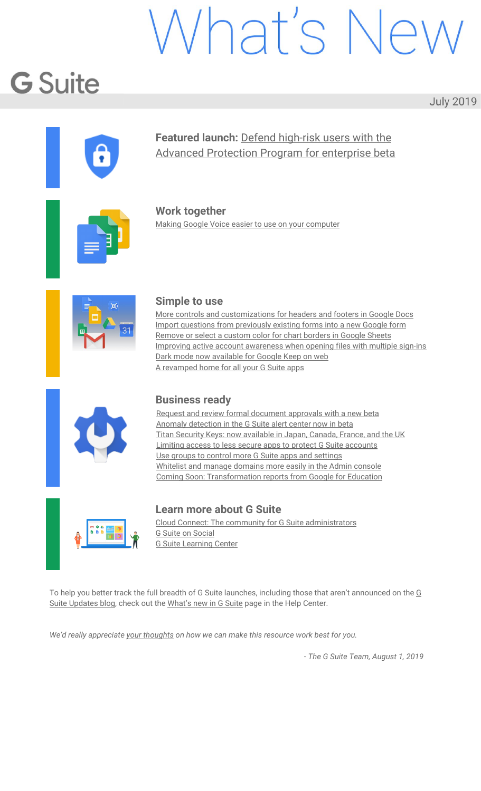# Vhat's Ne

# **G** Suite

**July 2019** 

<span id="page-0-0"></span>

#### **Featured launch:** Defend [high-risk](#page-1-0) users with the Advanced [Protection](#page-1-0) Program for enterprise beta

**Work together** Making Google Voice easier to use on your [computer](#page-3-0)



#### **Simple to use**

More controls and [customizations](#page-4-0) for headers and footers in Google Docs Import questions from [previously](#page-4-1) existing forms into a new Google form [Remove](#page-5-0) or select a custom color for chart borders in Google Sheets Improving active account [awareness](#page-6-0) when opening files with multiple sign-ins Dark mode now [available](#page-6-1) for Google Keep on web A [revamped](#page-7-0) home for all your G Suite apps



#### **Business ready**

Request and review formal [document](#page-8-0) approvals with a new beta Anomaly [detection](#page-9-0) in the G Suite alert center now in beta Titan Security Keys: now [available](#page-10-0) in Japan, Canada, France, and the UK Limiting access to less secure apps to protect G Suite [accounts](#page-10-1) Use groups to control more G Suite apps and [settings](#page-12-0) Whitelist and manage [domains](#page-12-1) more easily in the Admin console Coming Soon: [Transformation](#page-13-0) reports from Google for Education



#### **Learn more about G Suite**

Cloud Connect: The community for G Suite [administrators](#page-17-0) G Suite on [Social](#page-17-1) G Suite [Learning](#page-17-2) Center

To help you better track the full breadth of [G](https://gsuiteupdates.googleblog.com/) Suite launches, including those that aren't announced on the G Suite [Updates](https://gsuiteupdates.googleblog.com/) blog, check out the [What's](https://support.google.com/a/go/whatsnew) new in G Suite page in the Help Center.

*We'd really appreciate your [thoughts](https://docs.google.com/a/google.com/forms/d/19AJmnJuG_JWdOTSf0B_kL1DFemE8bbkJbZ42Iz6uDx0/viewform) on how we can make this resource work best for you.*

*- The G Suite Team, August 1, 2019*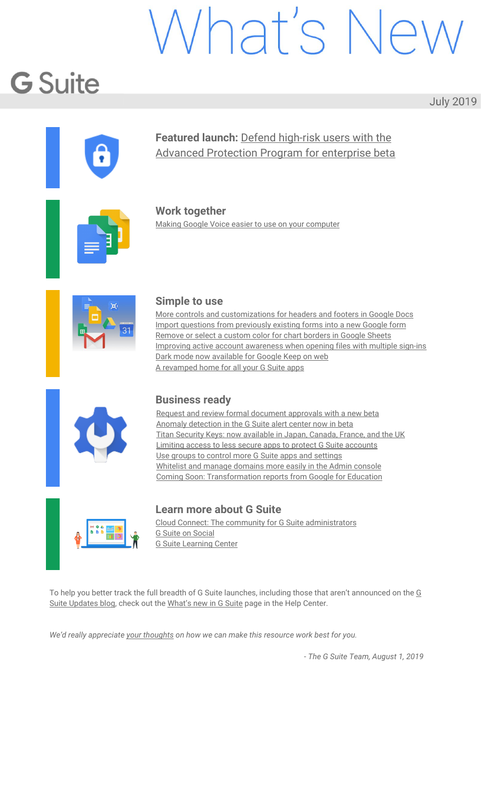# <span id="page-1-0"></span>Featured launch: Defend high-risk users with the Advanced Protection Program for enterprise beta

Announced July 31, 2019 **Administrative Administrative** - [back](#page-0-0) to top - back to top -

#### **What's changing**

Today, we're announcing the beta of Google's Advanced [Protection](https://landing.google.com/advancedprotection/) Program for G Suite customers. With Advanced Protection Program for enterprise, you'll be able to enforce a set of enhanced security policies for employees in your organization that are most at risk for targeted attacks. These policies include:

Requiring the use of security keys for maximum protection against phishing. Automatically blocking access to non-whitelisted third-party apps. Enhanced email scanning for threats. Download protections for certain file types when signed into Google Chrome.

Advanced Protection for enterprise will be rolling out in beta over the next several days. See below for more details on how to get started.

#### **Who's impacted**

Admins and end users

#### **Why you'd use it**

While the individual policies currently included in the Advanced Protection Program are available to G Suite users outside of this beta, the Advanced Protection Program beta offers a simple bundle of our strongest account security settings for your organization's high-risk users.

Some users who would benefit from the protections of Advanced Protection are:

IT admins, Executives, Employees in regulated or high-risk verticals such as finance or government.

#### **How to get started**

**Admins:** Turn the beta on by going to *Admin console > Security > Advanced Protection Program* and select "Enrollment is enabled" for one or more organizational units (OUs).

**End users:** Once the program is enabled in your domain, users in those OUs specified by their admin can enroll in the Advanced Protection Program by going to [g.co/advancedprotection](https://landing.google.com/advancedprotection/). Note that users will need two security keys to complete enrollment.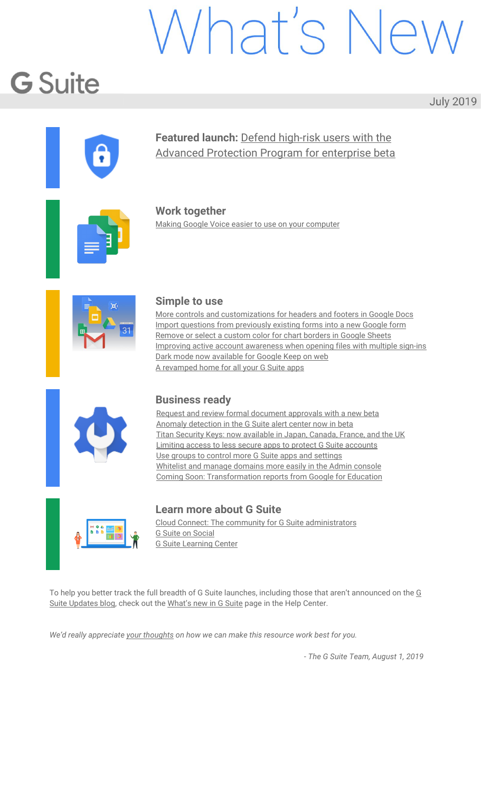#### **Additional details**

Once the beta is enabled for their domain, users will be able to opt in at [g.co/advancedprotection](https://landing.google.com/advancedprotection/). We'll automatically enforce a specific set of policies for the users you identify as most at risk:

**Requiring the use of security keys.** Physical security keys, such as our Titan [Security](https://cloud.google.com/titan-security-key/) Keys, go further than traditional 2-Step Verification to help secure accounts against phishing and account takeovers.

**Automatically blocking access to high-risk third-party apps.** When a user signs up for new apps or services, they're sometimes asked to give access to high-risk data in their G Suite account. Advanced Protection allows only Google apps and select third-party apps, including those [whitelisted](https://support.google.com/a/answer/7281227?hl=en#scopes) by G Suite [admins,](https://support.google.com/a/answer/7281227?hl=en#scopes) to access high-risk user data.

Note: Third party apps that do not require high-risk scopes to function will not be automatically blocked by Advanced Protection. However, they can be blocked through a [separate](https://support.google.com/a/answer/7281227?hl=en#scopes) admin policy.

**Enhanced email scanning.** Incoming email will have all available screening for phishing attempts, viruses, and attachments with malicious content.

**Stricter account recovery:** Users who lose both of their security keys will need admin help to regain access to their accounts on new devices. This prevents automated recovery flows from becoming an attack vector.

**Download protections in Google Chrome.** We're adding a new feature in Google Chrome that will reduce a user's exposure to potentially risky downloads. When signed into Chrome, users will receive a warning that indicates that [S](https://safebrowsing.google.com/)afe [Browsing](https://safebrowsing.google.com/) could not verify whether a file is safe. This will signal to users to proceed with caution and check the reputation of the source of the file to further validate the legitimacy of the file.

Find out more about the policies enforced in the Advanced Protection Program at [g.co/advancedprotection](https://landing.google.com/advancedprotection/).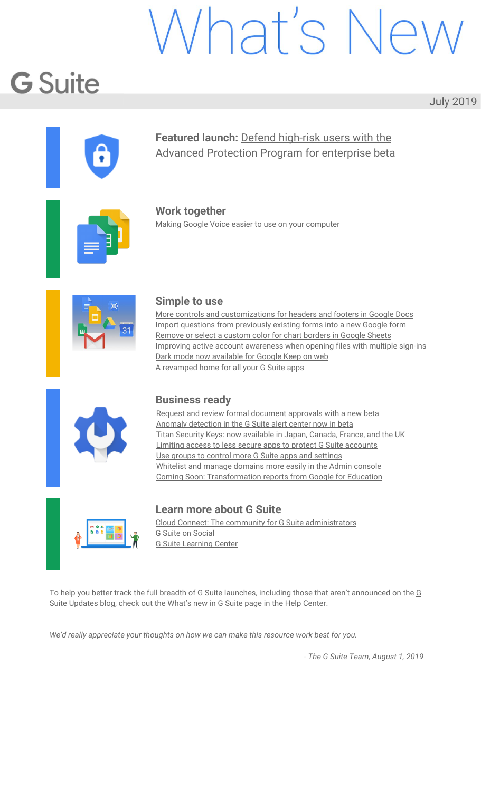### Work together

#### <span id="page-3-0"></span>Making Google Voice easier to use on your computer

Announced on July 11, 2019 Share with your organization - [back](#page-0-0) to top -

#### **What's changing**

We're making some improvements to the Google Voice web app. These will make it easier to find the right contact, quicker to place calls, and simpler to control audio settings. Specific improvements include:

Always-visible call panel One-click calling Quick access to mic and audio settings

See more information below.

#### **Who's impacted**

End users

#### **Why you'd use it**

It's important for a telephony system to be quick and intuitive to use. These improvements will make it simpler to use Google Voice, so users spend less time navigating the product interface and more time communicating through it.

#### **How to get started**

**Admins:** No action needed.

**End users**: See our Help Center to learn more about how to [make](https://support.google.com/voice/answer/3379129) calls or change the audio [settings](https://support.google.com/voice/answer/9188701) for Google Voice on the web.

#### **Additional details**

#### **Always visible call panel**

The new call panel will be in the same place regardless of what you're doing in the Google Voice app—checking messages, listening to voicemails, or something else. This will make it quicker and easier to place calls when you need to.

#### **One-click calling**

A new quick call option will appear when users hover over a contact in their call list. This will allow users to make calls faster.

#### **Quick access to mic and audio settings**

A new icon in the main action bar will give instant access to common audio settings. These include what microphone and audio output to use before or during a call, as well as what device should ring for incoming calls.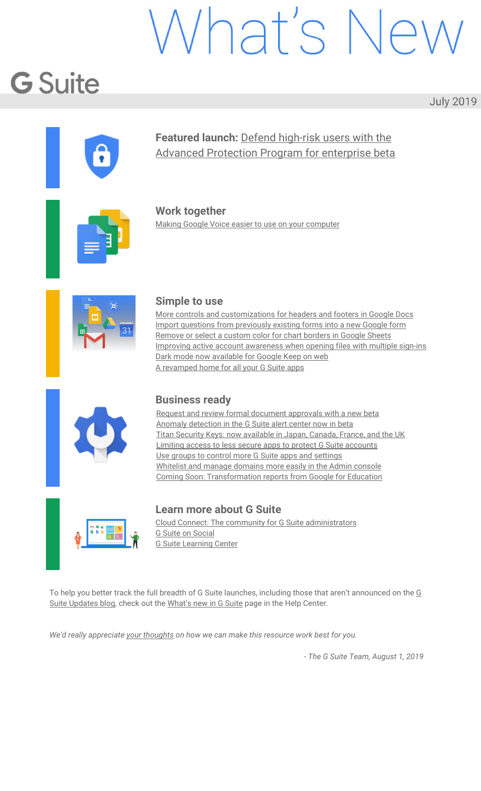# Simple to use

#### <span id="page-4-0"></span>More controls and customizations for headers and footers in Google Docs

Announced on July 23, 2019 Share with your organization - [back](#page-0-0) to top -

#### **What's changing**

We're giving you more options to control and customize headers and footers in Google Docs.

Previously, you could set a single header or single footer for your entire document, with an option to make it different on the first page only. Now you can also define a specific header or footer for each section of your document, or use different headers and footers on odd and even page numbers.



*Set a different header or footer on odd and even page numbers.*

<span id="page-4-1"></span>To use [different](https://support.google.com/docs/answer/86629) headers or footers per page, see this article in the Help Center.

#### Import questions from previously existing forms into a new Google form

| Announced on July 1, 2019 | Share with your organization | - back to top - |
|---------------------------|------------------------------|-----------------|
|                           |                              |                 |

#### **What's changing**

We're adding the ability to import questions from your existing Google Forms and forms shared with you into a new form.

**Who's impacted** End users

#### **Why you'd use it**

You've told us that the ability to import relevant questions from other forms into a new form is important. For example, educators frequently reuse questions from existing forms or forms shared with them for collaboration by others, to create quizzes. Or you could use this feature to quickly create forms that are distributed on a monthly or quarterly basis, like surveying your employees about workplace amenities.

Previously, it was only possible to do this manually, a process that often took a great deal of time.

**How to get started**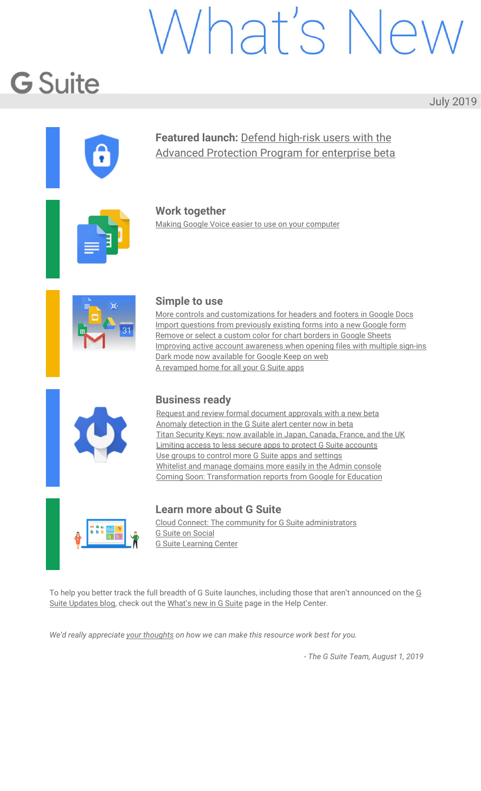**Admins:** No action required. **End users:**

#### First, open a form and from the action toolbar on the right, select *Import Questions*. Then, from the dialogue box, select the form with the questions you want to import. From the right hand sidebar menu, you can:

Import all questions by choosing *Select All > Import Questions*

Or, you can select specific questions to import and then select *Import Questions.*

| African Language and Geography Pop Quiz<br>Form description |    |                |                 | а<br>×<br><b>Import questions</b><br>African Language and Geography<br>Quiz<br>Change form                                                                 |
|-------------------------------------------------------------|----|----------------|-----------------|------------------------------------------------------------------------------------------------------------------------------------------------------------|
| $\pm1.1$<br>Question                                        |    | $\circledcirc$ | Multiple choice | Select all                                                                                                                                                 |
| O Option 1<br>Add option at add "Other"                     |    |                |                 | Which of these are official<br>◡<br>languages spoken in South Africa?<br>Checkboxes: 7 options<br>What is the capital of Kenya?<br>$\overline{\mathbf{v}}$ |
| ø<br>Answerkey (0 points)                                   | ıO | 百              | Required (B)    | Multiple choice: 5 options                                                                                                                                 |

#### <span id="page-5-0"></span>Remove or select a custom color for chart borders in Google Sheets

| Announced on July 8, 2019<br>Share with your organization<br>- back to top - |  |
|------------------------------------------------------------------------------|--|
|------------------------------------------------------------------------------|--|

#### **Quick launch summary**

You now have more options for customizing chart borders in Google Sheets. Currently, the default border for a chart is dark gray — now, you can change the border to a custom color or remove the border:

Double click on any chart to open the Chart editor and select the Customize tab. Under Chart style, you can select a border color or select "None" to remove the border.



*The default border is shown on the left, customization options shown on the right.*

We hope this new feature helps you better customize your Sheets.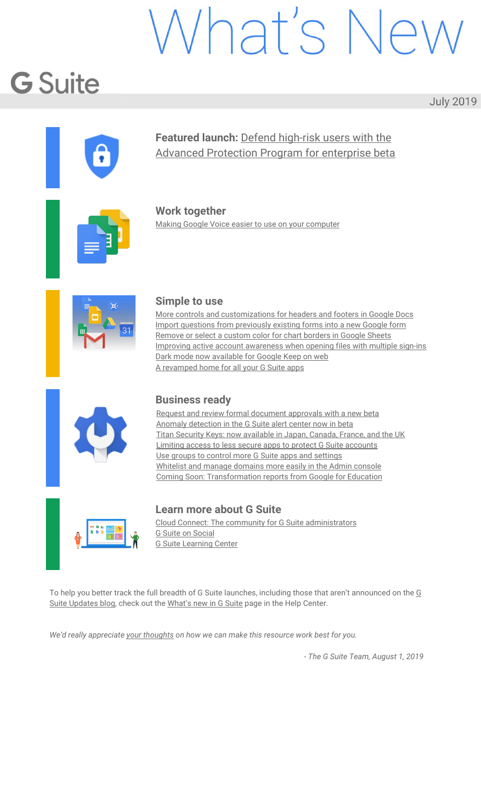#### <span id="page-6-0"></span>Improving active account awareness when opening files with multiple sign-ins

| Announced on July 9, 2019 | Share with your organization | - back to top - |
|---------------------------|------------------------------|-----------------|

#### **What's changing**

We're making it easier for you to identify which Google account is active when opening and contributing to Docs, Sheets, and Slides files.

When you're logged into multiple accounts, like switching between your work and personal accounts, it can sometimes be confusing to determine which account is active when opening and collaborating on a Doc, Sheet, or Slide.

Now when you open a file, you may see a message that indicates which account is active, and gives you the option to quickly change accounts to ensure you're using the best one. This will help eliminate confusion and ensure you're using the correct account when contributing to content.



#### <span id="page-6-1"></span>Dark mode now available for Google Keep on web

|  | Announced on July 9, 2019<br>Share with your organization<br>- back to top - |  |
|--|------------------------------------------------------------------------------|--|
|--|------------------------------------------------------------------------------|--|

#### **What's changing**

You can now enable Dark mode for Keep on the web. To activate Dark mode, click Settings (gear icon) in the top bar and select "Enable Dark mode" from the dropdown menu.

Note that Dark mode must be [enable](https://gsuiteupdates.googleblog.com/2019/05/dark-mode-calendar-keep.html)d on a per-device basis. You can also enable Dark mode for Keep on [Android.](https://gsuiteupdates.googleblog.com/2019/05/dark-mode-calendar-keep.html)

Dark mode is a popular feature that's frequently requested by Calendar and Keep users. It creates a better viewing experience in low-light conditions by reducing brightness.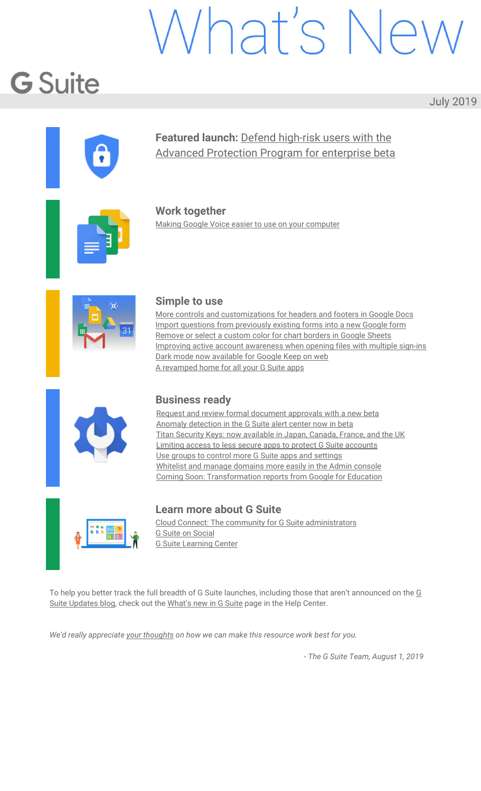| ▬       | Кеер<br>m    | Q. Search your notes                                                                         |                                                                                             |                                                            | $Q = G \cos \theta$<br>$\circ$<br>B<br>e<br>田                                                             |  |
|---------|--------------|----------------------------------------------------------------------------------------------|---------------------------------------------------------------------------------------------|------------------------------------------------------------|-----------------------------------------------------------------------------------------------------------|--|
| ۰       | <b>Notes</b> |                                                                                              | Take a nota                                                                                 |                                                            | 図<br>$\Box$<br>×                                                                                          |  |
| a.      | Reminders    |                                                                                              |                                                                                             |                                                            |                                                                                                           |  |
| LANELS  |              | <b>POINTO</b>                                                                                |                                                                                             |                                                            |                                                                                                           |  |
| $\circ$ | Inspiration  | <b>Material Design</b><br><b>Material design is a</b>                                        | Crepe Recipe<br>1. In a blended condition                                                   | Grocery list<br>C Paper caveta                             | Surprise party<br>for Kristin!                                                                            |  |
| D.      | Personal     | foundation spon which<br>applications for Goagle<br>platforms are built.                     | fine, ware set, mily<br>eggs, and butter.<br>2. Parent until markets to                     | <b>Distance</b><br>$\square$ Sons<br><b>C French bread</b> |                                                                                                           |  |
| D.      | <b>Wark</b>  | These principles are<br>intended for a wide                                                  |                                                                                             | TT Norwando Military<br><b>Dillento</b>                    | To-Do<br><b>Times Made</b>                                                                                |  |
| s       | Eclit labels | audience.                                                                                    |                                                                                             | $\square$ Disjons<br><b>Cheesen</b>                        | El Schedule sync mith<br><b>El Univir Companien</b>                                                       |  |
| 田       | Archive      | <b>CO</b> NAME ROOM                                                                          |                                                                                             | <b>CONSH</b>                                               | <b>Ci Chat with Erin</b><br><b>CONTINUES</b>                                                              |  |
| 日.      | Trash        |                                                                                              |                                                                                             |                                                            | <b>C dee densist</b><br>C Fix gamegie down<br><b>El they side table</b><br><b><i>C they graceries</i></b> |  |
|         |              | <b>IFFIRMS</b>                                                                               |                                                                                             |                                                            |                                                                                                           |  |
|         |              | <b>Gift Ideas</b>                                                                            | Google doodle                                                                               | Pick up trash                                              |                                                                                                           |  |
|         |              | <b>C New bike between</b><br><b>Dicester</b><br>Ci Cute houseplant?<br><b>IT beginsmings</b> | A Google Doodle in a<br>special temporary<br>alteration of the lage<br>on Doogle's bomegage | tonight                                                    |                                                                                                           |  |
|         |              | Clean off pionic                                                                             |                                                                                             |                                                            |                                                                                                           |  |
|         |              | tables and get<br>chairs.                                                                    | Trip to Hawaii                                                                              |                                                            |                                                                                                           |  |

*Dark mode for Keep on web.*

#### <span id="page-7-0"></span>A revamped home for all your G Suite apps

| Announced on July 9, 2019 | Share with your organization | <u>- back to top</u> - |
|---------------------------|------------------------------|------------------------|
|                           |                              |                        |

#### **What's changing**

You can see a list of all the core G Suite apps enabled for your organization in the User Dashboard at [gsuite.google.com/dashboard](https://apps.google.com/user/hub). After a recent redesign, this page is now better-looking and easier to navigate, with a search bar that allows users to quickly find apps.

Users will be directed to the User Dashboard after signing the G Suite Terms of Service, but they can also bookmark it for quick access in the future. Visit the Help Center for more [information.](https://support.google.com/a/answer/9365414)

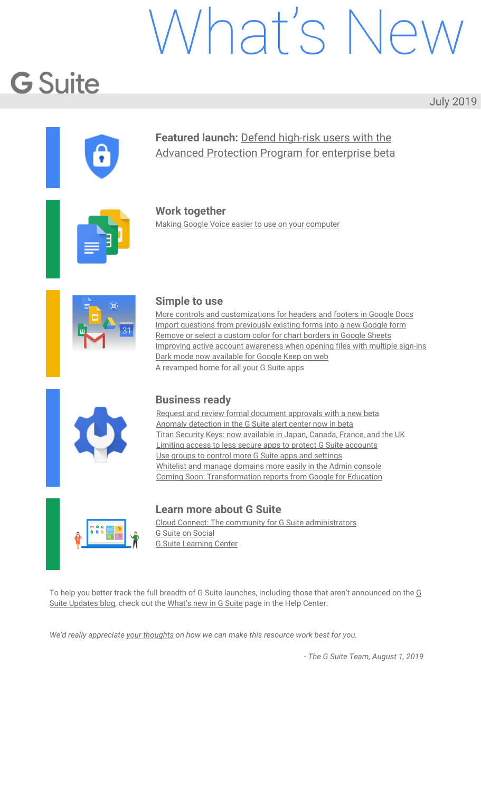## Business ready

#### <span id="page-8-0"></span>Request and review formal document approvals with a new beta

| Announced on July 1, 2019 | Admin feature | - back to top - |
|---------------------------|---------------|-----------------|
|                           |               |                 |

#### **What's changing**

We're launching a new beta that allows you to request and review formal approvals on Google Docs, Sheets, and Slides. This feature gives you a direct way to get binding approvals on a file, and to see who's approved them.



To learn more about this beta and to apply, see [here](https://docs.google.com/forms/d/e/1FAIpQLScaWgMrTZqzR6_OwDP0Ch0i94ltc41DdV-5eMAedtBgs3o34w/viewform).

#### **Who's impacted**

Admins and end users

#### **Why you'd use it**

With this beta, you can easily request approval on specific files from a single or multiple reviewers. Once you add a reviewer to a file, they'll receive a notification via email.

You'll also have the option to specify a due date when requesting an approval. As the due date approaches, reviewers will receive reminders via email that their approval is needed. Reviewers will also receive reminders if their approval is past due.

For a single reviewer, the file is automatically approved or rejected once the reviewer makes their choice. For multiple reviewers, the file gets approved once **all** reviewers have selected "approve" and rejected once **any** reviewer selects "reject."

If you need to add additional reviewers to a request, you can do so as long as an approval is still pending. In addition, editors and pending reviewers can choose to re-assign a review request to a more appropriate party.

#### **How to get started**

**Admins:** To apply for the Google Drive [Approvals](https://docs.google.com/forms/d/e/1FAIpQLScaWgMrTZqzR6_OwDP0Ch0i94ltc41DdV-5eMAedtBgs3o34w/viewform) beta, see here. **End users:**

#### **Once this feature is enabled for your domain, to request an approval:**

In Google Drive, right-click the file you want to get approved and select "Approvals" from the list of options.

If you have the file open in preview mode, this option is also available in the actions listed in the three-dot drop-down menu.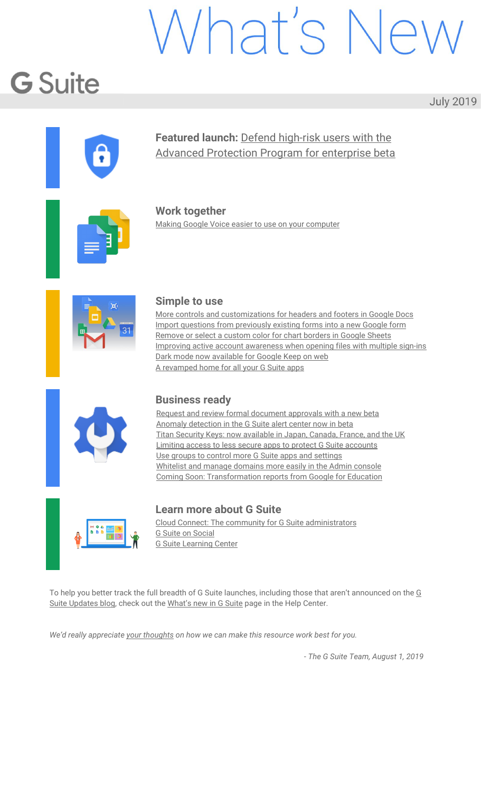#### **○ To approve or reject a file:**

If your approval is requested on a document, you'll receive a notification email and can take action within Gmail:

> You can approve or reject the document in the preview pane, and add comments.

From Drive, you can see a pending request for approval in the action items associated with a file, or by right-clicking and choosing "View approvals."

#### **Additional details**

Once you send a file for review, the content of the file cannot be modified, including leaving and resolving comments within the document. Only comments regarding the approval itself can be added.

Only editors can unlock the file, in which case the review request is cancelled. Reviews can be requested again once all revisions are made.

#### <span id="page-9-0"></span>Anomaly detection in the G Suite alert center now in beta

|  | Announced on July 31, 2019 | Admin feature | <u>- back to top</u> - |  |
|--|----------------------------|---------------|------------------------|--|
|--|----------------------------|---------------|------------------------|--|

#### **What's changing**

We're launching the beta of anomalous alert activity for Google Drive. Super admins and admins with delegated privileges for the alert [center](https://gsuite.google.com/products/admin/alert-center/) for G Suite will be alerted when potential data exfiltration risks occur based on unusual Google Drive behavior. Our machine learning models analyze security signals within Google Drive to detect potential security risks such as data exfiltration or policy violations related to unusual external file sharing and download behavior.

| Google Admin<br>Q Search<br>≡                                                                                                                                            |                                                          |                  |                         |                                      | $\equiv$ |
|--------------------------------------------------------------------------------------------------------------------------------------------------------------------------|----------------------------------------------------------|------------------|-------------------------|--------------------------------------|----------|
| Security > Alexander                                                                                                                                                     |                                                          |                  |                         |                                      |          |
|                                                                                                                                                                          |                                                          |                  |                         |                                      |          |
| Alerta   Showing 1-20 of many.                                                                                                                                           |                                                          |                  |                         |                                      | ø<br>٠   |
| * Seedfilters ( + Add a fiber                                                                                                                                            |                                                          |                  |                         |                                      |          |
| o<br>Mersussey                                                                                                                                                           | Lot units & Lot under the                                |                  | liam interes            |                                      |          |
| Onverselerati sharing ansmalous activity<br>o<br>8<br>pliciation 42 per charact 122 discusses externeds. These were it recovers: The action's Meling of which restricts. | tera Modification de 22 d'abril<br>An 12.826 AM - 0 High |                  | 05390010<br>Het started |                                      |          |
| Phinling message detected post-delivery<br>M<br>Quoja aktorbit ani recisci frid 12 missingist from komistinate plas in sicultating post-bener                            | Jun 12: 3: 24 AM                                         | <b>B MARIET</b>  | Not started in a        |                                      |          |
| Device compromised<br>n<br>A detect's compromised abditions against the best of the Chall 2003 (at                                                                       | Jun 13: 8:23 AM 6 Modium                                 |                  | Not attend in the       |                                      |          |
| Leaked password<br>o<br>A<br>ject (Dela's 27 mins away bound out a publically position of our exportment everlessing). If patiented to any street in requirement         | Jun 13, 8:22 AM 4 Minforth                               |                  | Not started  +          |                                      |          |
| Phishing message detected past-delivery<br>o.<br>M<br>Concie detected and resissantial if messages them hank (jainshees) as in an phialong possibliness.                 | Jun 12, 8:21 AM                                          | $\triangle$ Hopy | in progress :           |                                      |          |
| Orive indental sharing anamalous activity.<br>b<br>G<br>engine-stices showl-47 document precises. Then were 100 requests. The actor's shorted ecriving institute         | Jon 12, 8:20 AM                                          | · High           | in progress             | Admin Three<br>administrate \$2,0000 |          |

#### **Who's impacted**

Admins only

#### **Why you'd use it**

Staying on top of activity that impacts the organization's security is top of mind for most admins.

Once in beta, we'll proactively notify you of potential security risks including data exfiltration and unusual user behavior patterns that can otherwise be more difficult for security admins to discover.

Additionally, since the alert center integrates with the security center investigation tool for G Suite, organizations can directly launch remediation efforts from within the alert center.

#### **How to get started**

**Admins:** Sign up for the beta using this [form.](https://forms.gle/S6LdjdvyPrScXnLe6) **End users:** No action needed.

#### **Additional details**

With this beta program, we're launching two new types of alerts: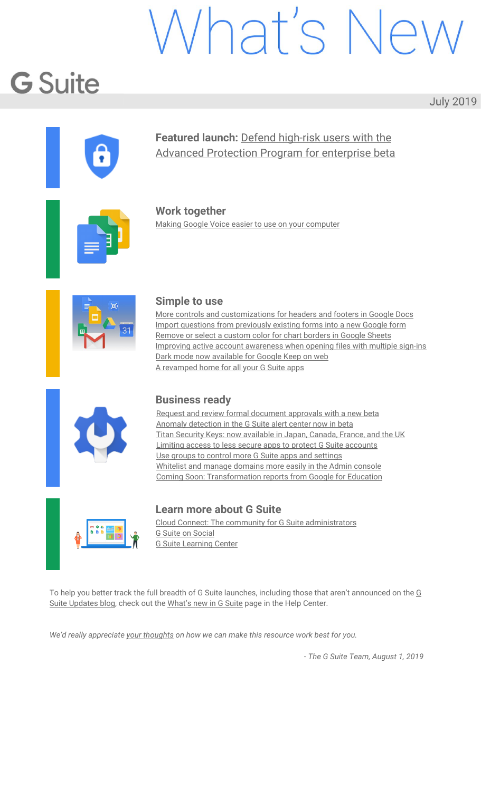**Drive External Sharing Anomalous Activity alert:** This alert informs security admins of potential data exfiltration risks based on unusual user Drive sharing behavior to external users. **Drive Download Anomalous Activity alert:** This alert informs security admins of potential data exfiltration risks based on unusual user Drive downloading behavior.

#### <span id="page-10-0"></span>Titan Security Keys: now available in Japan, Canada, France, and the UK

| Announced on July 31, 2019 | Admin feature | - back to top - |
|----------------------------|---------------|-----------------|

#### **Quick launch summary**

Last year, we [launched](https://cloud.google.com/blog/products/identity-security/titan-security-keys-now-available-on-the-google-store) Titan Security Keys in the United States to help companies protect their users' accounts against phishing and account takeovers. Now, Titan Security Keys are available on the [Google](https://store.google.com/product/titan_security_key_kit) Store in Japan, Canada, France, and the United Kingdom (UK).

Titan Security keys can be used anywhere FIDO [security](https://fidoalliance.org/how-fido-works/) keys are supported, including Google's [Advanced](https://landing.google.com/advancedprotection/) [Protection](https://landing.google.com/advancedprotection/) Program, and help provide strong protection against automated bots, bulking phishing, and targeted attacks.



Admins can learn more about enabling security key enforcement for G Suite, GCP, and Cloud Identity users by visiting our **Help [Center](https://support.google.com/a/answer/9176657/)**.

#### <span id="page-10-1"></span>Limiting access to less secure apps to protect G Suite accounts

| Announced on July 29, 2019 | Admin feature | - back to top - |
|----------------------------|---------------|-----------------|
| What's changing            |               |                 |

On October 30, 2019, we'll begin removing the setting to "[Enforce](https://support.google.com/a/answer/6260879) access to less secure apps for all users" from the Google Admin console. This setting should disappear from your Admin console by the end of year.

| Less secure apps<br>Locally applied<br>이 부모님께서 동생을 받아 보이겠다. | This setting will be<br>(a) Disable access to less secure apps for all users (Recommended)<br>removed on or after<br>Allow users to manage their access to less secure apps:<br>October 30, 2019.<br>Enforce access to less secure apps for all users (Not Recommended) |
|-------------------------------------------------------------|-------------------------------------------------------------------------------------------------------------------------------------------------------------------------------------------------------------------------------------------------------------------------|
|                                                             | Some apps use less secure sign-in technology, which makes accounts more vulnerable. You can choose to deny access for these apps, which we<br>recommend, or choose to allow access despite the risks. @<br>기업 이 주의 시간이 없어서 이 사람이 없어 있어요. 그 사람은 이 사람이 어려워 있다             |

If the "Enforce access to less secure apps for all users" setting is selected for your domain when this change takes place, we'll automatically select "Allow users to manage their access to less secure apps" instead. You'll no longer have the option to enforce access to LSAs at the domain level.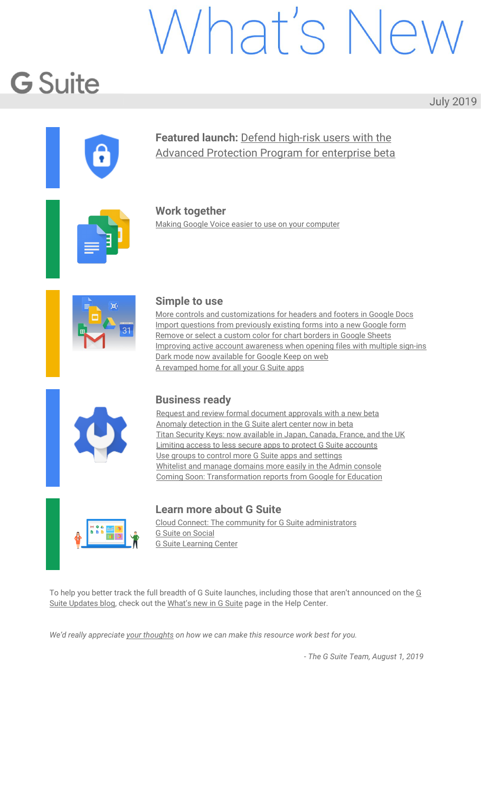Following this change, if you "Allow users to manage their access to less secure apps," users will still have the option to [access](https://support.google.com/accounts/answer/6010255) LSAs, provided the "Less secure app access" setting is enabled at the individual user account level. To minimize disruption in domains where we've automatically changed the setting from "Enforce access" to "Allow users to manage their access," this account-level setting will be on by default at the time of the change for all *active* users of LSAs.

#### Less secure app access  $\leftarrow$

Some apps and devices use less secure sign-in technology, which makes your account more vulnerable. You can turn off access for these apps, which we recommend, or turn on access if you want to use them despite the risks. Learn more

Allow less secure apps: ON

If a user has previously opted to let LSAs access their account, but no LSAs have connected to their account in some time, we'll turn this account-level setting off for them. They can manually reenable this setting at any time at myaccount.google.com/lesssecureapps (provided their admin allows them to do so).

#### **Who's impacted**

Admins and end users

#### **Why it's important**

We're making this change to protect your users. LSAs connect to Google accounts using only a username and password, which makes them vulnerable to hijacking. Whenever possible, users should connect to their accounts via [OAuth](https://developers.google.com/identity/protocols/OAuth2), a more secure method. OAuth allows third-party apps to use Google account information without seeing a user's password, and it gives admins security controls like the ability to whitelist certain apps and offer scope-based account access.

Visit the Help Center to learn more about managing [OAuth-based](https://support.google.com/a/answer/7281227) access to connected apps.

#### **How to get started**

**Admins:** No action is required, but we recommend the following:

- If you currently enforce access to LSAs in your domain, change your setting to [disable](https://admin.google.com/valueofinformation.com/AdminHome?fral=1#ServiceSettings/notab=1&service=securitysetting&subtab=lesssecureappsaccess) access or allow users to [manage](https://admin.google.com/valueofinformation.com/AdminHome?fral=1#ServiceSettings/notab=1&service=securitysetting&subtab=lesssecureappsaccess) their access as soon as possible, as LSAs can make Google accounts vulnerable to hijackers.
	- Encourage your users to use OAuth-based protocols (like OAuth-based IMAP) to give non-Google apps access to their Google accounts, including their email, calendar, and contacts.
	- Review our list of [alternatives](https://support.google.com/a/answer/6260879#alternatives) to less secure apps.
	- Prepare your users and internal help desks for the change.
	- Update any user guides you've previously published to recommend the use of OAuth or to instruct users on how to turn on LSAs.
- **End users:** Visit the Help Center to learn more about LSAs and your [account.](https://support.google.com/accounts/answer/6010255)

#### **Additional details**

See below for FAQs.

#### **What is a less secure app (LSA)?**

A less secure app (LSA) is an app that connects to Google accounts using only username and password verification for access and not OAuth. Generally, you should only allow your users to use external apps that connect to Google accounts via OAuth, as LSAs make user accounts more vulnerable to hijacking.

#### **I have an app that cannot use OAuth; what do I do?**

Choose the "Allow users to manage their access to less secure apps" option in the Admin console, and ensure that users who need to use the app enable the "Less secure app access" setting at

myaccount.google.com/lesssecureapps. We also recommend contacting the app's developer and asking them to provide support for OAuth, as this is the more secure option. A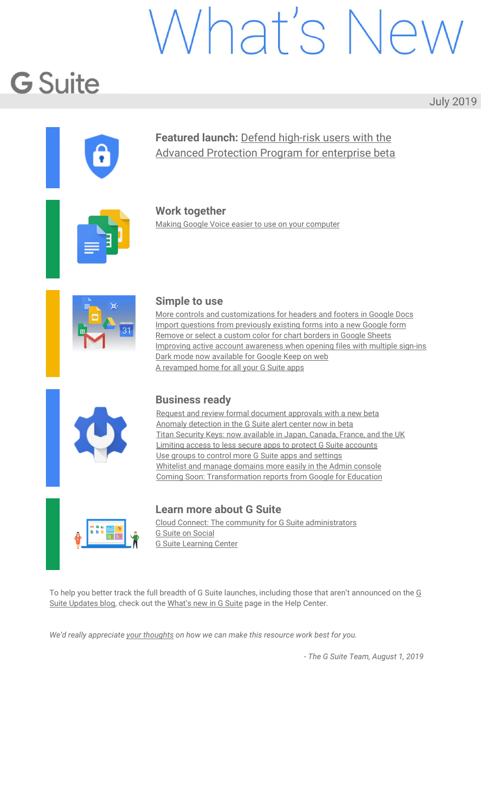#### <span id="page-12-0"></span>Use groups to control more G Suite apps and settings

| Announced on July 1, 2019<br>Admin feature<br>- back to top - |  |
|---------------------------------------------------------------|--|
|---------------------------------------------------------------|--|

#### **What's changing**

Last year, we announced that you could control access to G Suite apps and [services](https://gsuiteupdates.googleblog.com/2018/12/control-g-suite-apps-using-google-groups.html) using groups. We're now expanding what G Suite features you can control using groups. You can now use groups to control default settings for:

**App Maker** database settings **Currents** settings (for organizations enrolled in the [Currents](https://gsuiteupdates.googleblog.com/2019/04/currents-for-gsuite.html) beta program) **Directory** editability, such as what profile information (e.g. name, birthday, gender, etc.) users can edit **Google Drive and Docs** policies for sharing files and link visibility **Google Voice** settings (for organizations who have signed up for [Google](https://gsuiteupdates.googleblog.com/2019/04/google-voice-for-business-cloud-telephony.html) Voice) **Hangouts Meet** settings **YouTube** content settings, permissions, and more

#### **Who's impacted**

Admins only

#### **Why you'd use it**

Using groups can make G Suite simpler to manage while making sure the right users have access to the right apps, and have the appropriate default settings within those apps. For example, you could use groups to automatically configure G Suite for specific job functions, project teams, specific seniority levels, or geographic locations.

#### **How to get started**

Admins: Use our Help Center to learn how to [configure](https://support.google.com/a/answer/9224126) G Suite service settings with groups. End users: No action needed.

<span id="page-12-1"></span>

| Apps > G Suite + Settings for Drive and Docs + Sharing settings<br>Drive and Docs<br>Users.<br>Groups<br>Search for a group | Applied at 'Cloud Identity'<br>v<br>$\sim$<br>Shared drive creation<br>Applied at 'Court Islands' |                            | ON - Files owned by users in Cloud Identity can be shared outside of Cloud Identity Rocks. This applies to<br>files in all shared drives as well.<br>Access Checker<br>Recipients only, Cloud Identity Rocks, or public (no Google account required).<br>Distributing content outside of Cloud Identity Rocks<br>Anyone<br>Prevent users in Cloud Identity from creating new shared drives.<br>OFF<br>Prevent full-access members from modifying shared dilve settings<br>OFF.<br>Prevent people outside Cloud Identity from accessing files in the shared drive<br>on<br>Prevent non-members of the shared drive from accessing files in the shared drive<br>OFF |  |
|-----------------------------------------------------------------------------------------------------------------------------|---------------------------------------------------------------------------------------------------|----------------------------|-------------------------------------------------------------------------------------------------------------------------------------------------------------------------------------------------------------------------------------------------------------------------------------------------------------------------------------------------------------------------------------------------------------------------------------------------------------------------------------------------------------------------------------------------------------------------------------------------------------------------------------------------------------------|--|
|                                                                                                                             |                                                                                                   |                            | Prevent commenters and viewers from downloading, copying and printing files in the shared drive<br>ore                                                                                                                                                                                                                                                                                                                                                                                                                                                                                                                                                            |  |
|                                                                                                                             | Link Sharing                                                                                      | Applied at 'Doud Identity' | Link Sharing Defaults<br>OFF                                                                                                                                                                                                                                                                                                                                                                                                                                                                                                                                                                                                                                      |  |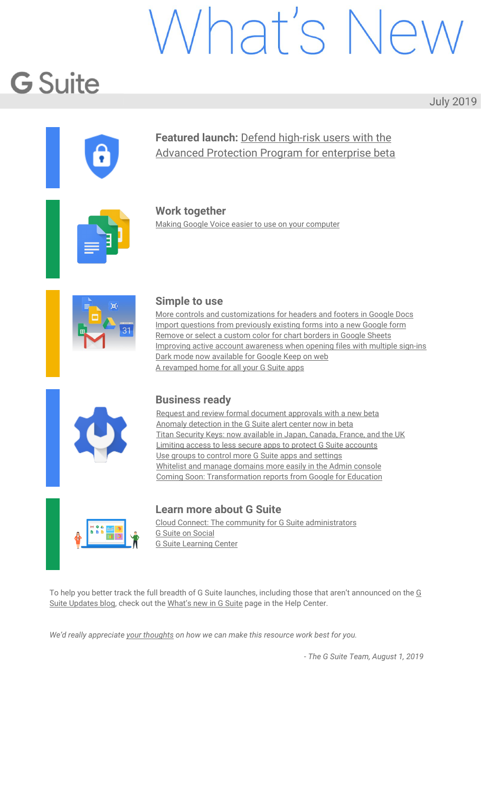

#### **What's changing**

We're making a few changes to how G Suite admins manage owned and whitelisted domains in the Admin console. There will be no significant functionality changes, but the interface at *Admin console > Account > Domains* will be different. Specifically you may notice:

A "Manage [domains"](https://support.google.com/a/answer/7502379) section. This was previously called "Add/remove domains."

A "[Whitelisted](https://support.google.com/a/answer/6160020) domains" section. This was previously called "Whitelisted external domains" and is where you can whitelist domains so your users can more easily collaborate with users in those domains.

An updated interface in both of these sections, with options rearranged to make it easier to find and perform common functions.

| $\equiv$ Google Admin                                                                                                   | Q. Search for users or settings                                                                     |                                                                                                                                                                 | $\bullet$ | $\bullet$ | ≣                  |   |
|-------------------------------------------------------------------------------------------------------------------------|-----------------------------------------------------------------------------------------------------|-----------------------------------------------------------------------------------------------------------------------------------------------------------------|-----------|-----------|--------------------|---|
| Domains                                                                                                                 |                                                                                                     |                                                                                                                                                                 |           |           |                    |   |
| Manage domains<br>Add or remove domains or domain<br>alisses that your organization owns<br>12 DOMAINS / DOMAIN ALIASES | ▦<br>Whitelisted domains<br>Whitelist external domains to enable<br>limited privileges<br>2 DOMARES | 駒                                                                                                                                                               |           |           |                    |   |
| $\equiv$ Google Admin                                                                                                   | Q Search for users or settings                                                                      |                                                                                                                                                                 | $\bullet$ | $\bullet$ | $\mathbf{H}^{\pm}$ | 暖 |
| Whitelisted domains $\vert \mathbf{v} \vert$<br>Domains >                                                               |                                                                                                     |                                                                                                                                                                 |           |           |                    |   |
|                                                                                                                         |                                                                                                     | Whitelist a trusted organization's domain to let you work together in certain Google products. The organization must be using G Suite. Learn about requirements |           |           |                    |   |
| <b>Whitelisted domains</b>                                                                                              | Add new                                                                                             |                                                                                                                                                                 |           |           |                    |   |
| Domain                                                                                                                  |                                                                                                     |                                                                                                                                                                 |           |           |                    |   |
| enterprise-trials.com                                                                                                   |                                                                                                     |                                                                                                                                                                 |           |           |                    |   |
| polymer.com                                                                                                             |                                                                                                     |                                                                                                                                                                 |           |           |                    |   |
| white.com                                                                                                               |                                                                                                     |                                                                                                                                                                 |           |           |                    |   |
|                                                                                                                         |                                                                                                     |                                                                                                                                                                 |           |           |                    |   |
|                                                                                                                         |                                                                                                     |                                                                                                                                                                 |           |           |                    |   |
|                                                                                                                         |                                                                                                     |                                                                                                                                                                 |           |           |                    |   |
|                                                                                                                         |                                                                                                     |                                                                                                                                                                 |           |           |                    |   |
|                                                                                                                         |                                                                                                     |                                                                                                                                                                 |           |           |                    |   |
|                                                                                                                         |                                                                                                     |                                                                                                                                                                 |           |           |                    |   |
|                                                                                                                         |                                                                                                     |                                                                                                                                                                 |           |           |                    |   |
|                                                                                                                         |                                                                                                     |                                                                                                                                                                 |           |           |                    |   |

Use our Help Center to learn more about how to add more [domains](https://support.google.com/a/answer/7502379) to your G Suite account or [whitelist](https://support.google.com/a/answer/6160020) trusted G Suite [domains.](https://support.google.com/a/answer/6160020)

<span id="page-13-0"></span>Coming Soon: Transformation reports from Google for Education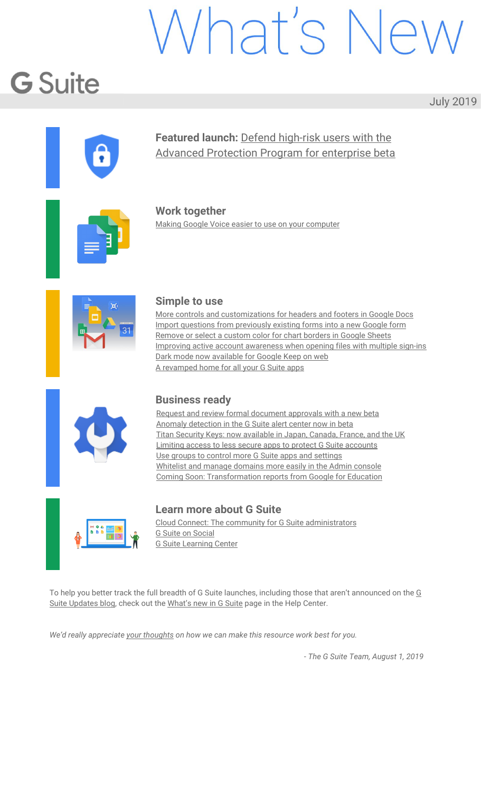#### **What's changing**

This back-to-school season, we're launching Google for Education [transformation](https://g.co/edutransformationreport) reports[,](https://g.co/edutransformationreport) available to all K-12 districts and schools in the US free of charge. Admins can sign up to be notified once the tool is available by filling out this [form.](http://bit.ly/gfetransformation)

#### **Who's impacted**

Admins only

#### **Why you'd use it**

The transformation report is a free tool designed to help quantify an organization's Google for Education implementation across our products and programs. Semester-based reports track usage trends over time and make it easy to understand how your organization is using G Suite, Chromebooks, and progressing through Certification and Transformation programs.

Based on survey responses and usage information, you'll receive tailored recommendations and resources from Google for Education to help you drive more impact across your organization.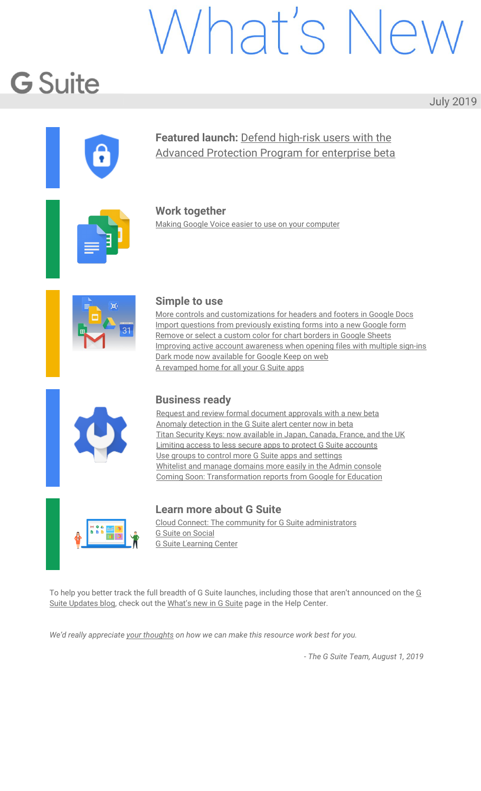Google for Education



*Sample Transformation report.* 

Lorem ipsum dolor sit amet, consectetur adipisicing elit

Lorem ipsum dolor sit amet, consectetur adipisicing elit

Lorem ipsum dolor sit amet, consectetur adipisicing elit

Lorem ipsum dolor sit amet, consectetur adipisicing elit